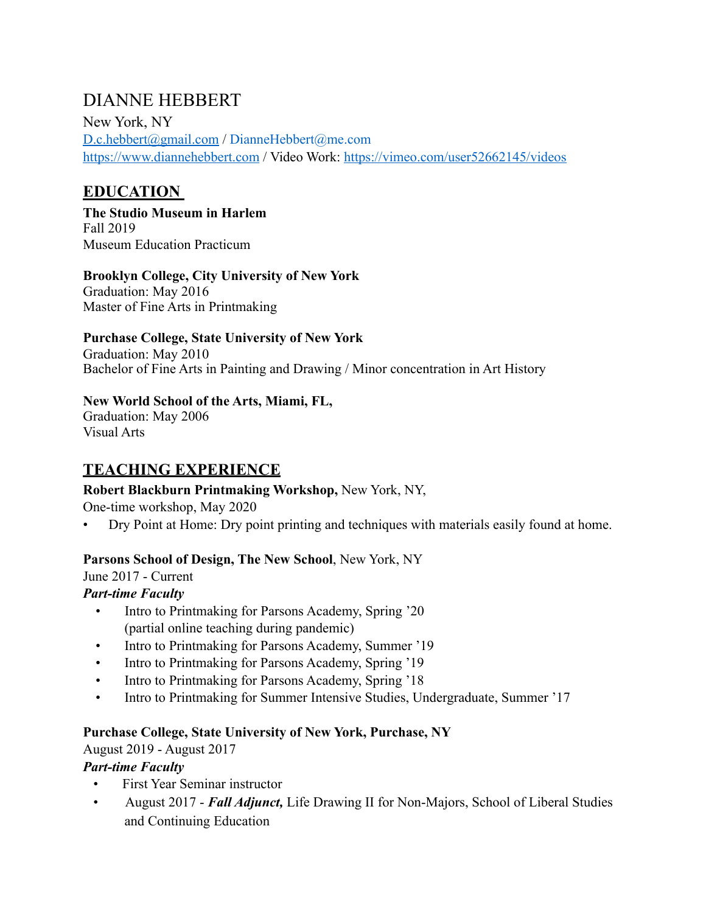# DIANNE HEBBERT

New York, NY [D.c.hebbert@gmail.com](mailto:D.c.hebbert@gmail.com) / DianneHebbert@me.com <https://www.diannehebbert.com> / Video Work: <https://vimeo.com/user52662145/videos>

# **EDUCATION**

**The Studio Museum in Harlem** Fall 2019 Museum Education Practicum

#### **Brooklyn College, City University of New York**

Graduation: May 2016 Master of Fine Arts in Printmaking

#### **Purchase College, State University of New York**

Graduation: May 2010 Bachelor of Fine Arts in Painting and Drawing / Minor concentration in Art History

#### **New World School of the Arts, Miami, FL,**

Graduation: May 2006 Visual Arts

# **TEACHING EXPERIENCE**

## **Robert Blackburn Printmaking Workshop,** New York, NY,

One-time workshop, May 2020

• Dry Point at Home: Dry point printing and techniques with materials easily found at home.

## **Parsons School of Design, The New School**, New York, NY

June 2017 - Current

# *Part-time Faculty*

- Intro to Printmaking for Parsons Academy, Spring '20 (partial online teaching during pandemic)
- Intro to Printmaking for Parsons Academy, Summer '19
- Intro to Printmaking for Parsons Academy, Spring '19
- Intro to Printmaking for Parsons Academy, Spring '18
- Intro to Printmaking for Summer Intensive Studies, Undergraduate, Summer '17

## **Purchase College, State University of New York, Purchase, NY**

August 2019 - August 2017

## *Part-time Faculty*

- First Year Seminar instructor
- August 2017 *Fall Adjunct,* Life Drawing II for Non-Majors, School of Liberal Studies and Continuing Education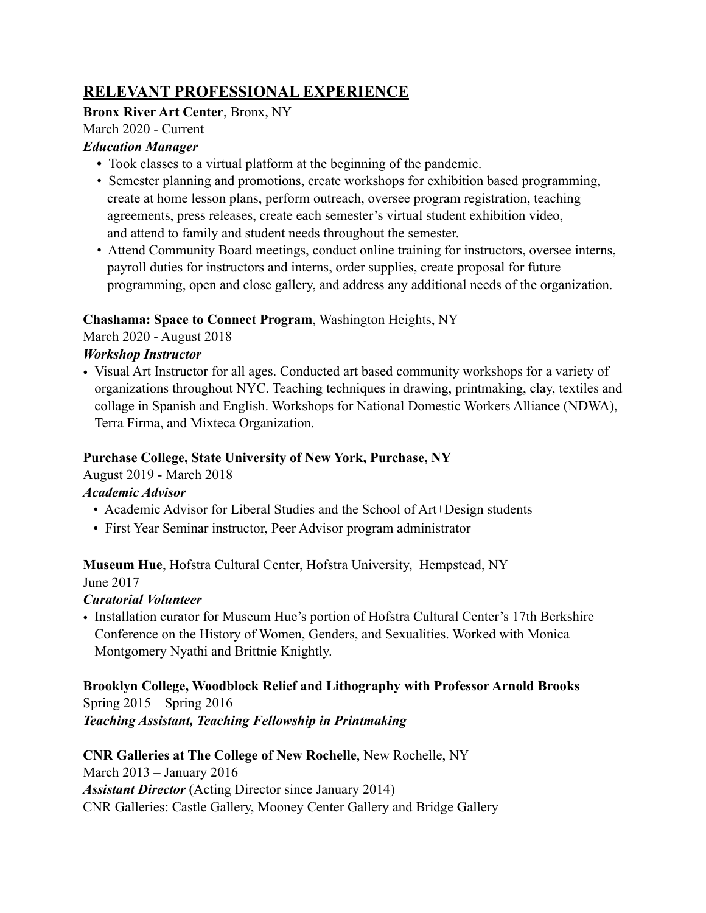# **RELEVANT PROFESSIONAL EXPERIENCE**

## **Bronx River Art Center**, Bronx, NY

# March 2020 - Current

#### *Education Manager*

- Took classes to a virtual platform at the beginning of the pandemic.
- Semester planning and promotions, create workshops for exhibition based programming, create at home lesson plans, perform outreach, oversee program registration, teaching agreements, press releases, create each semester's virtual student exhibition video, and attend to family and student needs throughout the semester.
- Attend Community Board meetings, conduct online training for instructors, oversee interns, payroll duties for instructors and interns, order supplies, create proposal for future programming, open and close gallery, and address any additional needs of the organization.

# **Chashama: Space to Connect Program**, Washington Heights, NY

March 2020 - August 2018

# *Workshop Instructor*

• Visual Art Instructor for all ages. Conducted art based community workshops for a variety of organizations throughout NYC. Teaching techniques in drawing, printmaking, clay, textiles and collage in Spanish and English. Workshops for National Domestic Workers Alliance (NDWA), Terra Firma, and Mixteca Organization.

# **Purchase College, State University of New York, Purchase, NY**

August 2019 - March 2018

# *Academic Advisor*

- Academic Advisor for Liberal Studies and the School of Art+Design students
- First Year Seminar instructor, Peer Advisor program administrator

**Museum Hue**, Hofstra Cultural Center, Hofstra University, Hempstead, NY

June 2017

# *Curatorial Volunteer*

• Installation curator for Museum Hue's portion of Hofstra Cultural Center's 17th Berkshire Conference on the History of Women, Genders, and Sexualities. Worked with Monica Montgomery Nyathi and Brittnie Knightly.

**Brooklyn College, Woodblock Relief and Lithography with Professor Arnold Brooks**  Spring 2015 – Spring 2016 *Teaching Assistant, Teaching Fellowship in Printmaking* 

## **CNR Galleries at The College of New Rochelle**, New Rochelle, NY March 2013 – January 2016 *Assistant Director* (Acting Director since January 2014) CNR Galleries: Castle Gallery, Mooney Center Gallery and Bridge Gallery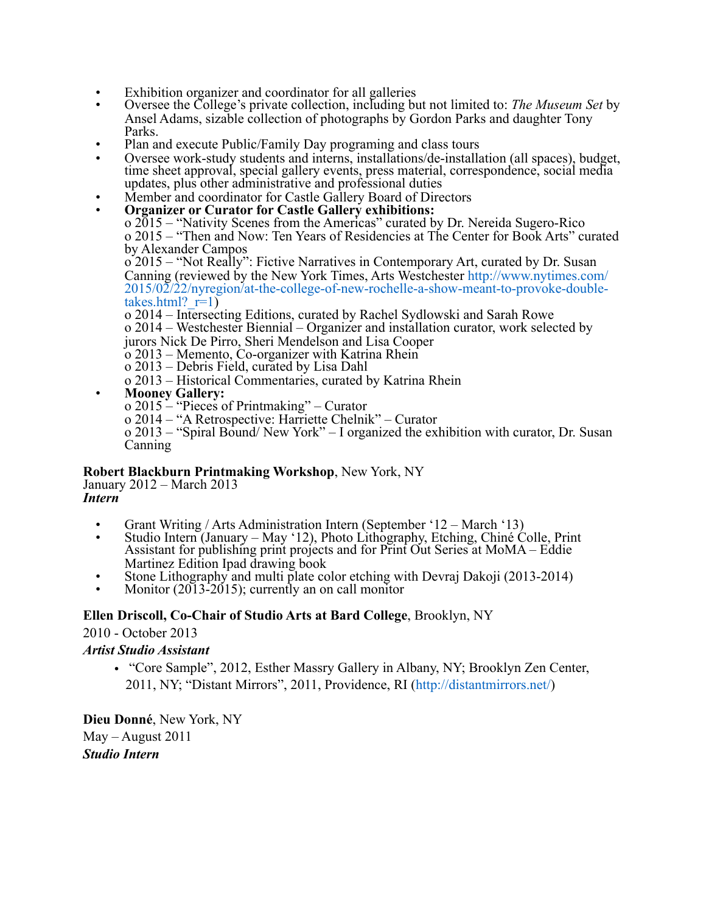- Exhibition organizer and coordinator for all galleries
- Oversee the College's private collection, including but not limited to: *The Museum Set* by Ansel Adams, sizable collection of photographs by Gordon Parks and daughter Tony Parks.
- Plan and execute Public/Family Day programing and class tours
- Oversee work-study students and interns, installations/de-installation (all spaces), budget, time sheet approval, special gallery events, press material, correspondence, social media updates, plus other administrative and professional duties
- Member and coordinator for Castle Gallery Board of Directors
- **Organizer or Curator for Castle Gallery exhibitions:** 
	- o 2015 "Nativity Scenes from the Americas" curated by Dr. Nereida Sugero-Rico o 2015 – "Then and Now: Ten Years of Residencies at The Center for Book Arts" curated by Alexander Campos

o 2015 – "Not Really": Fictive Narratives in Contemporary Art, curated by Dr. Susan Canning (reviewed by the New York Times, Arts Westchester http://www.nytimes.com/ 2015/02/22/nyregion/at-the-college-of-new-rochelle-a-show-meant-to-provoke-doubletakes.html? $r=1$ )

o 2014 – Intersecting Editions, curated by Rachel Sydlowski and Sarah Rowe o 2014 – Westchester Biennial – Organizer and installation curator, work selected by jurors Nick De Pirro, Sheri Mendelson and Lisa Cooper

o 2013 – Memento, Co-organizer with Katrina Rhein

- o 2013 Debris Field, curated by Lisa Dahl
- o 2013 Historical Commentaries, curated by Katrina Rhein
- **Mooney Gallery:**
	- o 2015 "Pieces of Printmaking" Curator
		- o 2014 "A Retrospective: Harriette Chelnik" Curator

o 2013 – "Spiral Bound/ New York" – I organized the exhibition with curator, Dr. Susan Canning

#### **Robert Blackburn Printmaking Workshop**, New York, NY

January 2012 – March 2013 *Intern* 

- Grant Writing / Arts Administration Intern (September '12 March '13)
- Studio Intern (January May '12), Photo Lithography, Etching, Chiné Colle, Print Assistant for publishing print projects and for Print Out Series at MoMA – Eddie Martinez Edition Ipad drawing book
- Stone Lithography and multi plate color etching with Devraj Dakoji (2013-2014)
- Monitor  $(2013-2015)$ ; currently an on call monitor

#### **Ellen Driscoll, Co-Chair of Studio Arts at Bard College**, Brooklyn, NY

2010 - October 2013

#### *Artist Studio Assistant*

• "Core Sample", 2012, Esther Massry Gallery in Albany, NY; Brooklyn Zen Center, 2011, NY; "Distant Mirrors", 2011, Providence, RI (http://distantmirrors.net/)

**Dieu Donné**, New York, NY May – August 2011 *Studio Intern*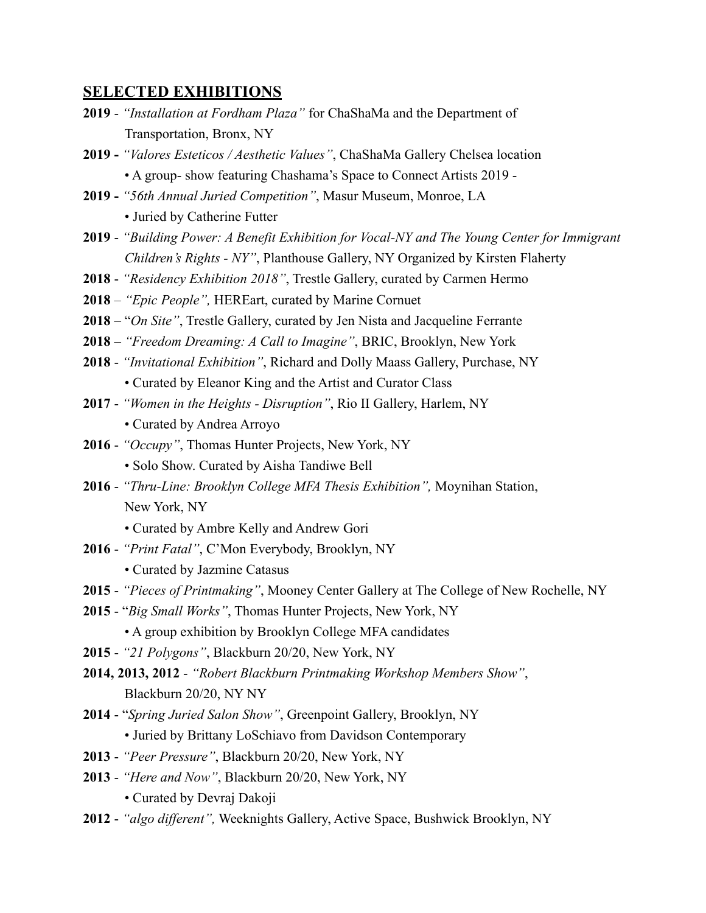#### **SELECTED EXHIBITIONS**

- **2019** *"Installation at Fordham Plaza"* for ChaShaMa and the Department of Transportation, Bronx, NY
- **2019** *"Valores Esteticos / Aesthetic Values"*, ChaShaMa Gallery Chelsea location • A group- show featuring Chashama's Space to Connect Artists 2019 -
- **2019** *"56th Annual Juried Competition"*, Masur Museum, Monroe, LA
	- Juried by Catherine Futter
- **2019** *"Building Power: A Benefit Exhibition for Vocal-NY and The Young Center for Immigrant Children's Rights - NY"*, Planthouse Gallery, NY Organized by Kirsten Flaherty
- **2018** *"Residency Exhibition 2018"*, Trestle Gallery, curated by Carmen Hermo
- **2018** *"Epic People",* HEREart, curated by Marine Cornuet
- **2018**  "*On Site"*, Trestle Gallery, curated by Jen Nista and Jacqueline Ferrante
- **2018** *"Freedom Dreaming: A Call to Imagine"*, BRIC, Brooklyn, New York
- **2018**  *"Invitational Exhibition"*, Richard and Dolly Maass Gallery, Purchase, NY
	- Curated by Eleanor King and the Artist and Curator Class
- **2017** *"Women in the Heights Disruption"*, Rio II Gallery, Harlem, NY
	- Curated by Andrea Arroyo
- **2016** *"Occupy"*, Thomas Hunter Projects, New York, NY • Solo Show. Curated by Aisha Tandiwe Bell
- **2016** *"Thru-Line: Brooklyn College MFA Thesis Exhibition",* Moynihan Station, New York, NY
	- Curated by Ambre Kelly and Andrew Gori
- **2016** *"Print Fatal"*, C'Mon Everybody, Brooklyn, NY

• Curated by Jazmine Catasus

- **2015** *"Pieces of Printmaking"*, Mooney Center Gallery at The College of New Rochelle, NY
- **2015** "*Big Small Works"*, Thomas Hunter Projects, New York, NY
	- A group exhibition by Brooklyn College MFA candidates
- **2015** *"21 Polygons"*, Blackburn 20/20, New York, NY
- **2014, 2013, 2012** *"Robert Blackburn Printmaking Workshop Members Show"*, Blackburn 20/20, NY NY
- **2014** "*Spring Juried Salon Show"*, Greenpoint Gallery, Brooklyn, NY
	- Juried by Brittany LoSchiavo from Davidson Contemporary
- **2013**  *"Peer Pressure"*, Blackburn 20/20, New York, NY
- **2013** *"Here and Now"*, Blackburn 20/20, New York, NY • Curated by Devraj Dakoji
- **2012** *"algo different",* Weeknights Gallery, Active Space, Bushwick Brooklyn, NY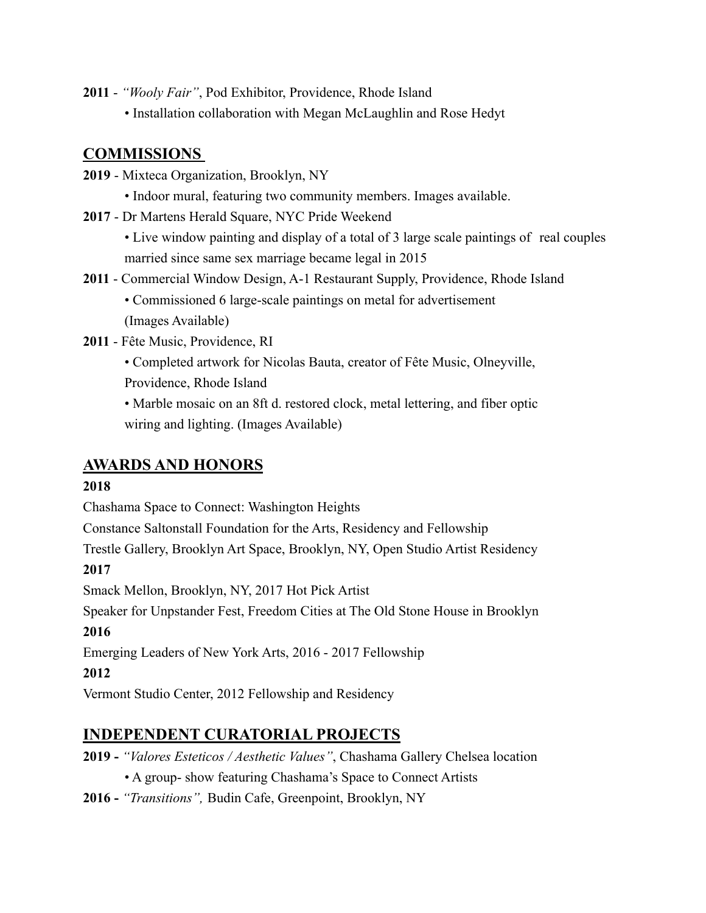- **2011** *"Wooly Fair"*, Pod Exhibitor, Providence, Rhode Island
	- Installation collaboration with Megan McLaughlin and Rose Hedyt

# **COMMISSIONS**

- **2019** Mixteca Organization, Brooklyn, NY
	- Indoor mural, featuring two community members. Images available.
- **2017** Dr Martens Herald Square, NYC Pride Weekend
	- Live window painting and display of a total of 3 large scale paintings of real couples married since same sex marriage became legal in 2015
- **2011**  Commercial Window Design, A-1 Restaurant Supply, Providence, Rhode Island
	- Commissioned 6 large-scale paintings on metal for advertisement (Images Available)
- **2011** Fête Music, Providence, RI
	- Completed artwork for Nicolas Bauta, creator of Fête Music, Olneyville,
	- Providence, Rhode Island
	- Marble mosaic on an 8ft d. restored clock, metal lettering, and fiber optic wiring and lighting. (Images Available)

# **AWARDS AND HONORS**

## **2018**

Chashama Space to Connect: Washington Heights

Constance Saltonstall Foundation for the Arts, Residency and Fellowship

Trestle Gallery, Brooklyn Art Space, Brooklyn, NY, Open Studio Artist Residency

## **2017**

Smack Mellon, Brooklyn, NY, 2017 Hot Pick Artist

Speaker for Unpstander Fest, Freedom Cities at The Old Stone House in Brooklyn **2016**

Emerging Leaders of New York Arts, 2016 - 2017 Fellowship

# **2012**

Vermont Studio Center, 2012 Fellowship and Residency

# **INDEPENDENT CURATORIAL PROJECTS**

- **2019** *"Valores Esteticos / Aesthetic Values"*, Chashama Gallery Chelsea location
	- A group- show featuring Chashama's Space to Connect Artists
- **2016** *"Transitions",* Budin Cafe, Greenpoint, Brooklyn, NY